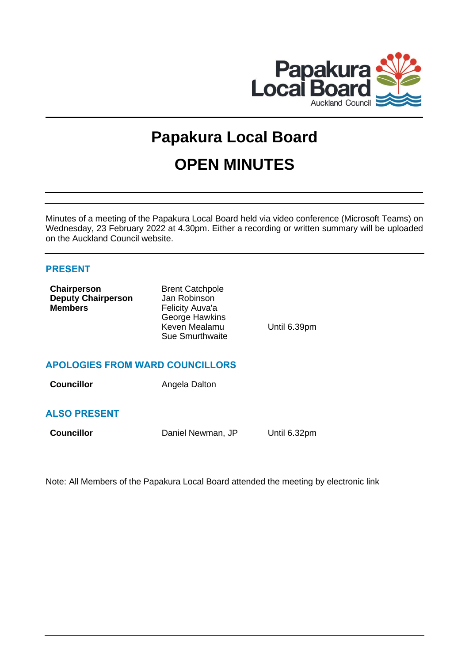

# **Papakura Local Board OPEN MINUTES**

Minutes of a meeting of the Papakura Local Board held via video conference (Microsoft Teams) on Wednesday, 23 February 2022 at 4.30pm. Either a recording or written summary will be uploaded on the Auckland Council website.

# **PRESENT**

| Chairperson               | <b>Brent Catchpole</b> |              |
|---------------------------|------------------------|--------------|
| <b>Deputy Chairperson</b> | Jan Robinson           |              |
| <b>Members</b>            | Felicity Auva'a        |              |
|                           | George Hawkins         |              |
|                           | Keven Mealamu          | Until 6.39pm |
|                           | <b>Sue Smurthwaite</b> |              |
|                           |                        |              |
|                           |                        |              |

# **APOLOGIES FROM WARD COUNCILLORS**

**Councillor Angela Dalton** 

# **ALSO PRESENT**

**Councillor** Daniel Newman, JP Until 6.32pm

Note: All Members of the Papakura Local Board attended the meeting by electronic link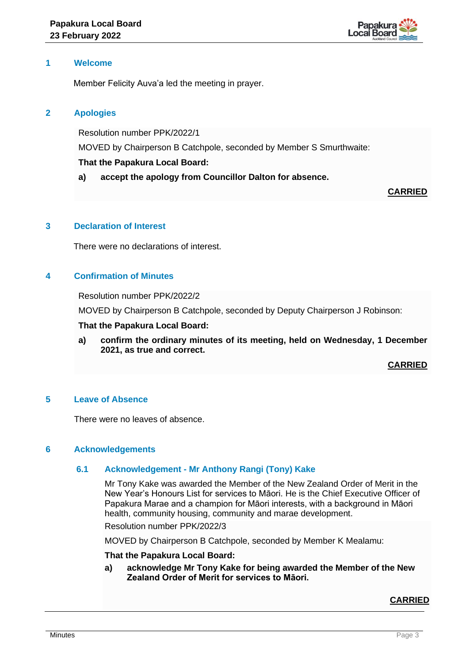

# **1 Welcome**

Member Felicity Auva'a led the meeting in prayer.

# **2 Apologies**

Resolution number PPK/2022/1

MOVED by Chairperson B Catchpole, seconded by Member S Smurthwaite:

# **That the Papakura Local Board:**

**a) accept the apology from Councillor Dalton for absence.**

# **CARRIED**

# **3 Declaration of Interest**

There were no declarations of interest.

# **4 Confirmation of Minutes**

Resolution number PPK/2022/2

MOVED by Chairperson B Catchpole, seconded by Deputy Chairperson J Robinson:

#### **That the Papakura Local Board:**

**a) confirm the ordinary minutes of its meeting, held on Wednesday, 1 December 2021, as true and correct.**

**CARRIED**

#### **5 Leave of Absence**

There were no leaves of absence.

#### **6 Acknowledgements**

# **6.1 Acknowledgement - Mr Anthony Rangi (Tony) Kake**

Mr Tony Kake was awarded the Member of the New Zealand Order of Merit in the New Year's Honours List for services to Māori. He is the Chief Executive Officer of Papakura Marae and a champion for Māori interests, with a background in Māori health, community housing, community and marae development. Resolution number PPK/2022/3

MOVED by Chairperson B Catchpole, seconded by Member K Mealamu:

#### **That the Papakura Local Board:**

**a) acknowledge Mr Tony Kake for being awarded the Member of the New Zealand Order of Merit for services to Māori.**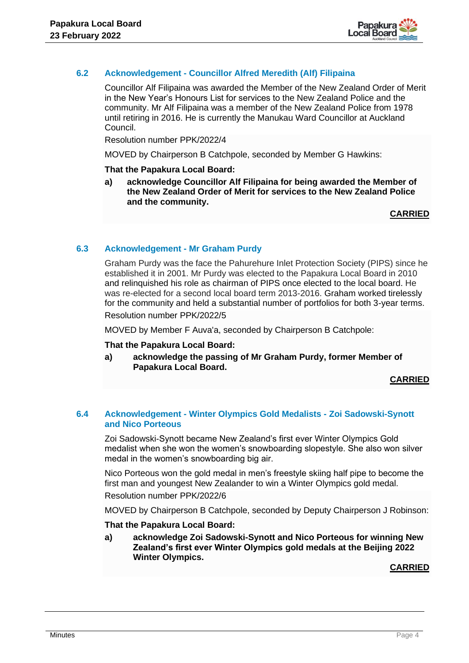

# **6.2 Acknowledgement - Councillor Alfred Meredith (Alf) Filipaina**

Councillor Alf Filipaina was awarded the Member of the New Zealand Order of Merit in the New Year's Honours List for services to the New Zealand Police and the community. Mr Alf Filipaina was a member of the New Zealand Police from 1978 until retiring in 2016. He is currently the Manukau Ward Councillor at Auckland Council.

Resolution number PPK/2022/4

MOVED by Chairperson B Catchpole, seconded by Member G Hawkins:

#### **That the Papakura Local Board:**

**a) acknowledge Councillor Alf Filipaina for being awarded the Member of the New Zealand Order of Merit for services to the New Zealand Police and the community.** 

**CARRIED**

# **6.3 Acknowledgement - Mr Graham Purdy**

Graham Purdy was the face the Pahurehure Inlet Protection Society (PIPS) since he established it in 2001. Mr Purdy was elected to the Papakura Local Board in 2010 and relinquished his role as chairman of PIPS once elected to the local board. He was re-elected for a second local board term 2013-2016. Graham worked tirelessly for the community and held a substantial number of portfolios for both 3-year terms. Resolution number PPK/2022/5

MOVED by Member F Auva'a, seconded by Chairperson B Catchpole:

#### **That the Papakura Local Board:**

**a) acknowledge the passing of Mr Graham Purdy, former Member of Papakura Local Board.** 

# **CARRIED**

# **6.4 Acknowledgement - Winter Olympics Gold Medalists - Zoi Sadowski-Synott and Nico Porteous**

Zoi Sadowski-Synott became New Zealand's first ever Winter Olympics Gold medalist when she won the women's snowboarding slopestyle. She also won silver medal in the women's snowboarding big air.

Nico Porteous won the gold medal in men's freestyle skiing half pipe to become the first man and youngest New Zealander to win a Winter Olympics gold medal.

Resolution number PPK/2022/6

MOVED by Chairperson B Catchpole, seconded by Deputy Chairperson J Robinson:

**That the Papakura Local Board:**

**a) acknowledge Zoi Sadowski-Synott and Nico Porteous for winning New Zealand's first ever Winter Olympics gold medals at the Beijing 2022 Winter Olympics.**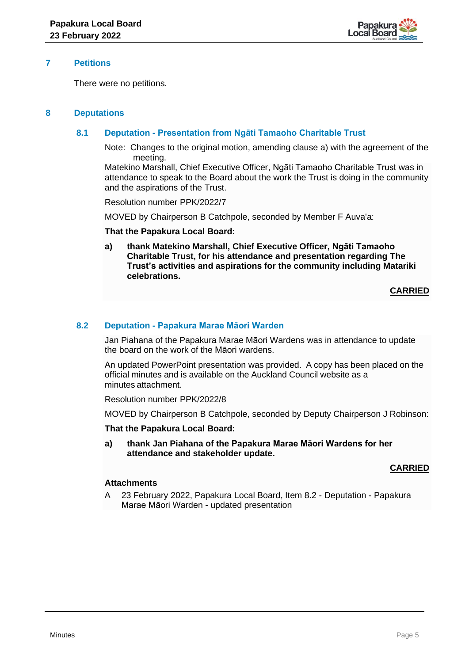

# **7 Petitions**

There were no petitions.

# **8 Deputations**

# **8.1 Deputation - Presentation from Ngāti Tamaoho Charitable Trust**

Note: Changes to the original motion, amending clause a) with the agreement of the meeting.

Matekino Marshall, Chief Executive Officer, Ngāti Tamaoho Charitable Trust was in attendance to speak to the Board about the work the Trust is doing in the community and the aspirations of the Trust.

Resolution number PPK/2022/7

MOVED by Chairperson B Catchpole, seconded by Member F Auva'a:

#### **That the Papakura Local Board:**

**a) thank Matekino Marshall, Chief Executive Officer, Ngāti Tamaoho Charitable Trust, for his attendance and presentation regarding The Trust's activities and aspirations for the community including Matariki celebrations.**

**CARRIED**

## **8.2 Deputation - Papakura Marae Māori Warden**

Jan Piahana of the Papakura Marae Māori Wardens was in attendance to update the board on the work of the Māori wardens.

An updated PowerPoint presentation was provided. A copy has been placed on the official minutes and is available on the Auckland Council website as a minutes attachment.

Resolution number PPK/2022/8

MOVED by Chairperson B Catchpole, seconded by Deputy Chairperson J Robinson:

#### **That the Papakura Local Board:**

**a) thank Jan Piahana of the Papakura Marae Māori Wardens for her attendance and stakeholder update.**

# **CARRIED**

## **Attachments**

A 23 February 2022, Papakura Local Board, Item 8.2 - Deputation - Papakura Marae Māori Warden - updated presentation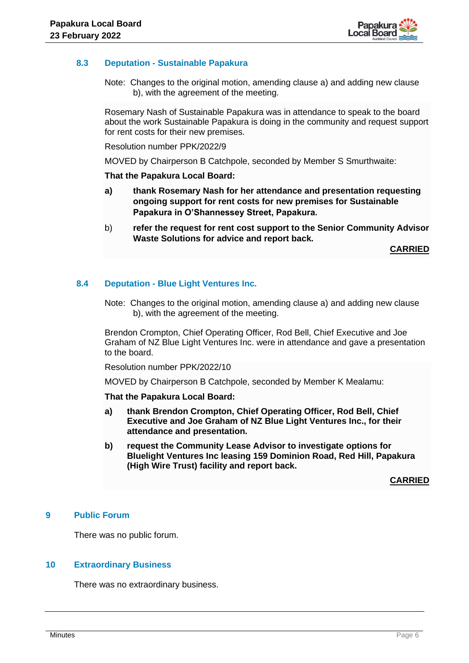

# **8.3 Deputation - Sustainable Papakura**

Note: Changes to the original motion, amending clause a) and adding new clause b), with the agreement of the meeting.

Rosemary Nash of Sustainable Papakura was in attendance to speak to the board about the work Sustainable Papakura is doing in the community and request support for rent costs for their new premises.

Resolution number PPK/2022/9

MOVED by Chairperson B Catchpole, seconded by Member S Smurthwaite:

#### **That the Papakura Local Board:**

- **a) thank Rosemary Nash for her attendance and presentation requesting ongoing support for rent costs for new premises for Sustainable Papakura in O'Shannessey Street, Papakura.**
- b) **refer the request for rent cost support to the Senior Community Advisor Waste Solutions for advice and report back.**

**CARRIED**

#### **8.4 Deputation - Blue Light Ventures Inc.**

Note: Changes to the original motion, amending clause a) and adding new clause b), with the agreement of the meeting.

Brendon Crompton, Chief Operating Officer, Rod Bell, Chief Executive and Joe Graham of NZ Blue Light Ventures Inc. were in attendance and gave a presentation to the board.

Resolution number PPK/2022/10

MOVED by Chairperson B Catchpole, seconded by Member K Mealamu:

**That the Papakura Local Board:**

- **a) thank Brendon Crompton, Chief Operating Officer, Rod Bell, Chief Executive and Joe Graham of NZ Blue Light Ventures Inc., for their attendance and presentation.**
- **b) request the Community Lease Advisor to investigate options for Bluelight Ventures Inc leasing 159 Dominion Road, Red Hill, Papakura (High Wire Trust) facility and report back.**

**CARRIED**

#### **9 Public Forum**

There was no public forum.

## **10 Extraordinary Business**

There was no extraordinary business.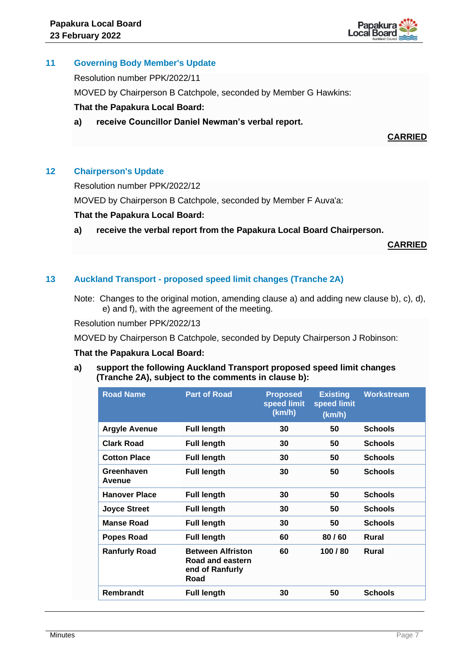

# **11 Governing Body Member's Update**

Resolution number PPK/2022/11

MOVED by Chairperson B Catchpole, seconded by Member G Hawkins:

# **That the Papakura Local Board:**

**a) receive Councillor Daniel Newman's verbal report.**

**CARRIED**

# **12 Chairperson's Update**

Resolution number PPK/2022/12

MOVED by Chairperson B Catchpole, seconded by Member F Auva'a:

## **That the Papakura Local Board:**

**a) receive the verbal report from the Papakura Local Board Chairperson.**

**CARRIED**

# **13 Auckland Transport - proposed speed limit changes (Tranche 2A)**

Note: Changes to the original motion, amending clause a) and adding new clause b), c), d), e) and f), with the agreement of the meeting.

Resolution number PPK/2022/13

MOVED by Chairperson B Catchpole, seconded by Deputy Chairperson J Robinson:

# **That the Papakura Local Board:**

**a) support the following Auckland Transport proposed speed limit changes (Tranche 2A), subject to the comments in clause b):**

| <b>Road Name</b>     | <b>Part of Road</b>                                                     | <b>Proposed</b><br>speed limit<br>(km/h) | <b>Existing</b><br>speed limit<br>(km/h) | <b>Workstream</b> |
|----------------------|-------------------------------------------------------------------------|------------------------------------------|------------------------------------------|-------------------|
| <b>Argyle Avenue</b> | <b>Full length</b>                                                      | 30                                       | 50                                       | <b>Schools</b>    |
| <b>Clark Road</b>    | <b>Full length</b>                                                      | 30                                       | 50                                       | <b>Schools</b>    |
| <b>Cotton Place</b>  | <b>Full length</b>                                                      | 30                                       | 50                                       | <b>Schools</b>    |
| Greenhaven<br>Avenue | <b>Full length</b>                                                      | 30                                       | 50                                       | <b>Schools</b>    |
| <b>Hanover Place</b> | <b>Full length</b>                                                      | 30                                       | 50                                       | <b>Schools</b>    |
| <b>Joyce Street</b>  | <b>Full length</b>                                                      | 30                                       | 50                                       | <b>Schools</b>    |
| <b>Manse Road</b>    | <b>Full length</b>                                                      | 30                                       | 50                                       | <b>Schools</b>    |
| Popes Road           | <b>Full length</b>                                                      | 60                                       | 80/60                                    | Rural             |
| <b>Ranfurly Road</b> | <b>Between Alfriston</b><br>Road and eastern<br>end of Ranfurly<br>Road | 60                                       | 100 / 80                                 | Rural             |
| Rembrandt            | <b>Full length</b>                                                      | 30                                       | 50                                       | <b>Schools</b>    |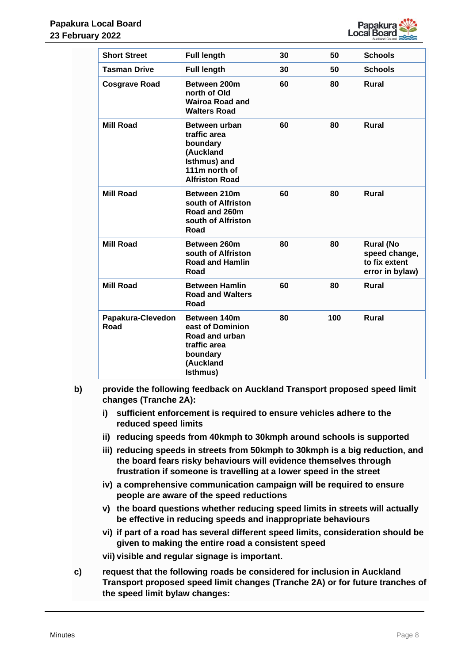

| <b>Short Street</b>       | <b>Full length</b>                                                                                               | 30 | 50  | <b>Schools</b>                                                        |
|---------------------------|------------------------------------------------------------------------------------------------------------------|----|-----|-----------------------------------------------------------------------|
| <b>Tasman Drive</b>       | <b>Full length</b>                                                                                               | 30 | 50  | <b>Schools</b>                                                        |
| <b>Cosgrave Road</b>      | Between 200m<br>north of Old<br><b>Wairoa Road and</b><br><b>Walters Road</b>                                    | 60 | 80  | <b>Rural</b>                                                          |
| <b>Mill Road</b>          | Between urban<br>traffic area<br>boundary<br>(Auckland<br>Isthmus) and<br>111m north of<br><b>Alfriston Road</b> | 60 | 80  | <b>Rural</b>                                                          |
| <b>Mill Road</b>          | Between 210m<br>south of Alfriston<br>Road and 260m<br>south of Alfriston<br>Road                                | 60 | 80  | <b>Rural</b>                                                          |
| <b>Mill Road</b>          | Between 260m<br>south of Alfriston<br><b>Road and Hamlin</b><br>Road                                             | 80 | 80  | <b>Rural (No</b><br>speed change,<br>to fix extent<br>error in bylaw) |
| <b>Mill Road</b>          | <b>Between Hamlin</b><br><b>Road and Walters</b><br>Road                                                         | 60 | 80  | <b>Rural</b>                                                          |
| Papakura-Clevedon<br>Road | Between 140m<br>east of Dominion<br>Road and urban<br>traffic area<br>boundary<br>(Auckland<br>Isthmus)          | 80 | 100 | <b>Rural</b>                                                          |

- **b) provide the following feedback on Auckland Transport proposed speed limit changes (Tranche 2A):**
	- **i) sufficient enforcement is required to ensure vehicles adhere to the reduced speed limits**
	- **ii) reducing speeds from 40kmph to 30kmph around schools is supported**
	- **iii) reducing speeds in streets from 50kmph to 30kmph is a big reduction, and the board fears risky behaviours will evidence themselves through frustration if someone is travelling at a lower speed in the street**
	- **iv) a comprehensive communication campaign will be required to ensure people are aware of the speed reductions**
	- **v) the board questions whether reducing speed limits in streets will actually be effective in reducing speeds and inappropriate behaviours**
	- **vi) if part of a road has several different speed limits, consideration should be given to making the entire road a consistent speed**
	- **vii) visible and regular signage is important.**
- **c) request that the following roads be considered for inclusion in Auckland Transport proposed speed limit changes (Tranche 2A) or for future tranches of the speed limit bylaw changes:**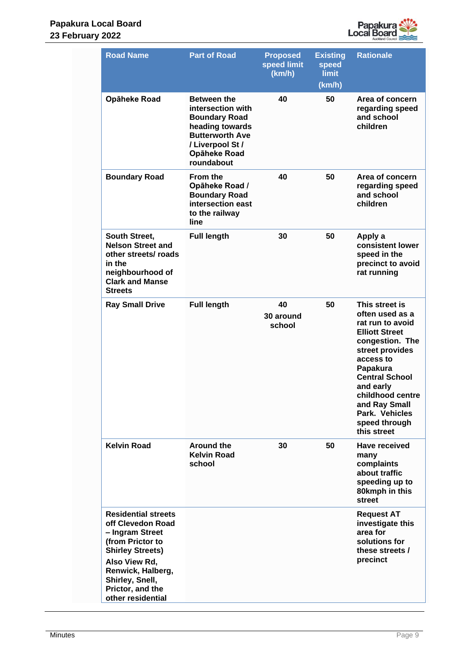

| <b>Road Name</b>                                                                                                                                                                                                    | <b>Part of Road</b>                                                                                                                                            | <b>Proposed</b><br>speed limit<br>(km/h) | <b>Existing</b><br>speed<br><b>limit</b><br>(km/h) | <b>Rationale</b>                                                                                                                                                                                                                                                           |
|---------------------------------------------------------------------------------------------------------------------------------------------------------------------------------------------------------------------|----------------------------------------------------------------------------------------------------------------------------------------------------------------|------------------------------------------|----------------------------------------------------|----------------------------------------------------------------------------------------------------------------------------------------------------------------------------------------------------------------------------------------------------------------------------|
| Opāheke Road                                                                                                                                                                                                        | <b>Between the</b><br>intersection with<br><b>Boundary Road</b><br>heading towards<br><b>Butterworth Ave</b><br>/ Liverpool St /<br>Opāheke Road<br>roundabout | 40                                       | 50                                                 | Area of concern<br>regarding speed<br>and school<br>children                                                                                                                                                                                                               |
| <b>Boundary Road</b>                                                                                                                                                                                                | <b>From the</b><br>Opāheke Road /<br><b>Boundary Road</b><br>intersection east<br>to the railway<br>line                                                       | 40                                       | 50                                                 | Area of concern<br>regarding speed<br>and school<br>children                                                                                                                                                                                                               |
| South Street,<br><b>Nelson Street and</b><br>other streets/ roads<br>in the<br>neighbourhood of<br><b>Clark and Manse</b><br><b>Streets</b>                                                                         | <b>Full length</b>                                                                                                                                             | 30                                       | 50                                                 | Apply a<br>consistent lower<br>speed in the<br>precinct to avoid<br>rat running                                                                                                                                                                                            |
| <b>Ray Small Drive</b>                                                                                                                                                                                              | <b>Full length</b>                                                                                                                                             | 40<br>30 around<br>school                | 50                                                 | This street is<br>often used as a<br>rat run to avoid<br><b>Elliott Street</b><br>congestion. The<br>street provides<br>access to<br>Papakura<br><b>Central School</b><br>and early<br>childhood centre<br>and Ray Small<br>Park. Vehicles<br>speed through<br>this street |
| <b>Kelvin Road</b>                                                                                                                                                                                                  | <b>Around the</b><br><b>Kelvin Road</b><br>school                                                                                                              | 30                                       | 50                                                 | Have received<br>many<br>complaints<br>about traffic<br>speeding up to<br>80kmph in this<br>street                                                                                                                                                                         |
| <b>Residential streets</b><br>off Clevedon Road<br>- Ingram Street<br>(from Prictor to<br><b>Shirley Streets)</b><br>Also View Rd,<br>Renwick, Halberg,<br>Shirley, Snell,<br>Prictor, and the<br>other residential |                                                                                                                                                                |                                          |                                                    | <b>Request AT</b><br>investigate this<br>area for<br>solutions for<br>these streets /<br>precinct                                                                                                                                                                          |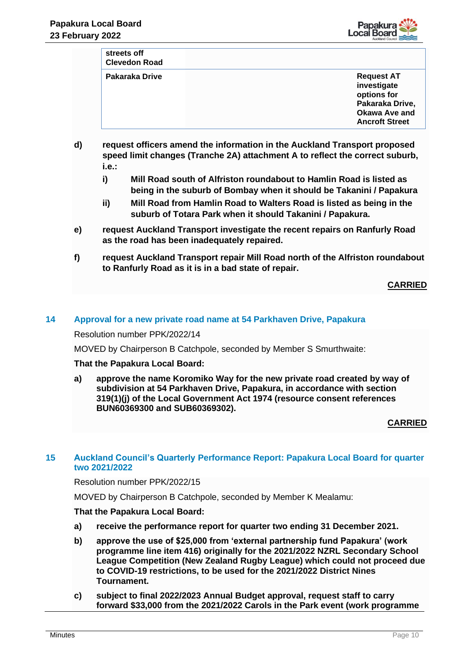

| streets off<br><b>Clevedon Road</b> |                                                                                     |
|-------------------------------------|-------------------------------------------------------------------------------------|
| Pakaraka Drive                      | <b>Request AT</b><br>investigate<br>options for<br>Pakaraka Drive,<br>Okawa Ave and |

**Ancroft Street d) request officers amend the information in the Auckland Transport proposed speed limit changes (Tranche 2A) attachment A to reflect the correct suburb, i.e.:**

- **i) Mill Road south of Alfriston roundabout to Hamlin Road is listed as being in the suburb of Bombay when it should be Takanini / Papakura**
- **ii) Mill Road from Hamlin Road to Walters Road is listed as being in the suburb of Totara Park when it should Takanini / Papakura.**
- **e) request Auckland Transport investigate the recent repairs on Ranfurly Road as the road has been inadequately repaired.**
- **f) request Auckland Transport repair Mill Road north of the Alfriston roundabout to Ranfurly Road as it is in a bad state of repair.**

**CARRIED**

## **14 Approval for a new private road name at 54 Parkhaven Drive, Papakura**

Resolution number PPK/2022/14

MOVED by Chairperson B Catchpole, seconded by Member S Smurthwaite:

#### **That the Papakura Local Board:**

**a) approve the name Koromiko Way for the new private road created by way of subdivision at 54 Parkhaven Drive, Papakura, in accordance with section 319(1)(j) of the Local Government Act 1974 (resource consent references BUN60369300 and SUB60369302).**

# **CARRIED**

## **15 Auckland Council's Quarterly Performance Report: Papakura Local Board for quarter two 2021/2022**

Resolution number PPK/2022/15

MOVED by Chairperson B Catchpole, seconded by Member K Mealamu:

#### **That the Papakura Local Board:**

- **a) receive the performance report for quarter two ending 31 December 2021.**
- **b) approve the use of \$25,000 from 'external partnership fund Papakura' (work programme line item 416) originally for the 2021/2022 NZRL Secondary School League Competition (New Zealand Rugby League) which could not proceed due to COVID-19 restrictions, to be used for the 2021/2022 District Nines Tournament.**
- **c) subject to final 2022/2023 Annual Budget approval, request staff to carry forward \$33,000 from the 2021/2022 Carols in the Park event (work programme**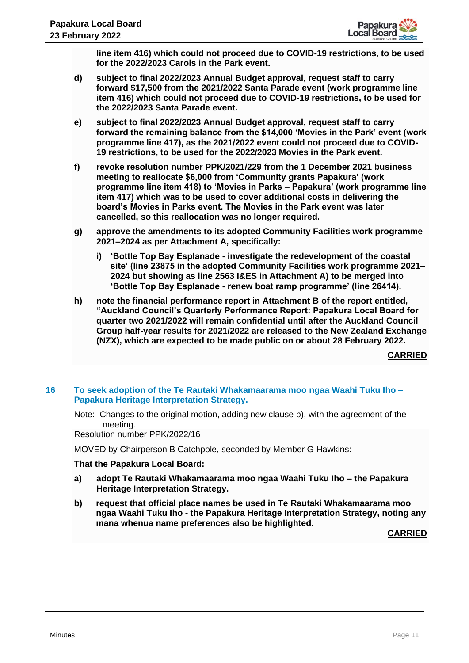

**line item 416) which could not proceed due to COVID-19 restrictions, to be used for the 2022/2023 Carols in the Park event.**

- **d) subject to final 2022/2023 Annual Budget approval, request staff to carry forward \$17,500 from the 2021/2022 Santa Parade event (work programme line item 416) which could not proceed due to COVID-19 restrictions, to be used for the 2022/2023 Santa Parade event.**
- **e) subject to final 2022/2023 Annual Budget approval, request staff to carry forward the remaining balance from the \$14,000 'Movies in the Park' event (work programme line 417), as the 2021/2022 event could not proceed due to COVID-19 restrictions, to be used for the 2022/2023 Movies in the Park event.**
- **f) revoke resolution number PPK/2021/229 from the 1 December 2021 business meeting to reallocate \$6,000 from 'Community grants Papakura' (work programme line item 418) to 'Movies in Parks – Papakura' (work programme line item 417) which was to be used to cover additional costs in delivering the board's Movies in Parks event. The Movies in the Park event was later cancelled, so this reallocation was no longer required.**
- **g) approve the amendments to its adopted Community Facilities work programme 2021–2024 as per Attachment A, specifically:** 
	- **i) 'Bottle Top Bay Esplanade - investigate the redevelopment of the coastal site' (line 23875 in the adopted Community Facilities work programme 2021– 2024 but showing as line 2563 I&ES in Attachment A) to be merged into 'Bottle Top Bay Esplanade - renew boat ramp programme' (line 26414).**
- **h) note the financial performance report in Attachment B of the report entitled, "Auckland Council's Quarterly Performance Report: Papakura Local Board for quarter two 2021/2022 will remain confidential until after the Auckland Council Group half-year results for 2021/2022 are released to the New Zealand Exchange (NZX), which are expected to be made public on or about 28 February 2022.**

**CARRIED**

## **16 To seek adoption of the Te Rautaki Whakamaarama moo ngaa Waahi Tuku Iho – Papakura Heritage Interpretation Strategy.**

Note: Changes to the original motion, adding new clause b), with the agreement of the meeting.

Resolution number PPK/2022/16

MOVED by Chairperson B Catchpole, seconded by Member G Hawkins:

# **That the Papakura Local Board:**

- **a) adopt Te Rautaki Whakamaarama moo ngaa Waahi Tuku Iho – the Papakura Heritage Interpretation Strategy.**
- **b) request that official place names be used in Te Rautaki Whakamaarama moo ngaa Waahi Tuku Iho - the Papakura Heritage Interpretation Strategy, noting any mana whenua name preferences also be highlighted.**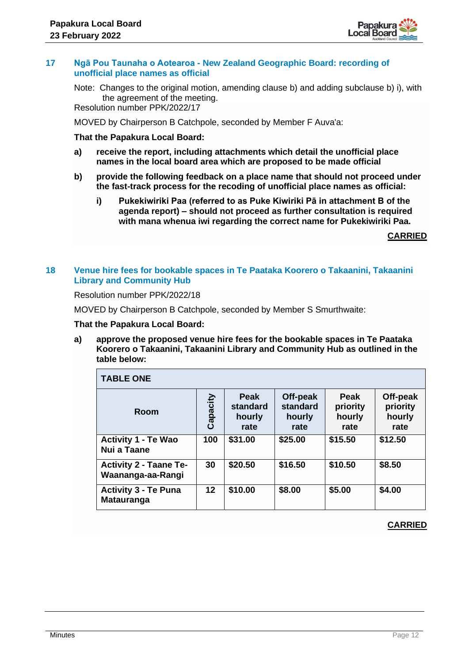

## **17 Ngā Pou Taunaha o Aotearoa - New Zealand Geographic Board: recording of unofficial place names as official**

Note: Changes to the original motion, amending clause b) and adding subclause b) i), with the agreement of the meeting.

Resolution number PPK/2022/17

MOVED by Chairperson B Catchpole, seconded by Member F Auva'a:

#### **That the Papakura Local Board:**

- **a) receive the report, including attachments which detail the unofficial place names in the local board area which are proposed to be made official**
- **b) provide the following feedback on a place name that should not proceed under the fast-track process for the recoding of unofficial place names as official:**
	- **i) Pukekiwiriki Paa (referred to as Puke Kiwiriki Pā in attachment B of the agenda report) – should not proceed as further consultation is required with mana whenua iwi regarding the correct name for Pukekiwiriki Paa.**

**CARRIED**

# **18 Venue hire fees for bookable spaces in Te Paataka Koorero o Takaanini, Takaanini Library and Community Hub**

Resolution number PPK/2022/18

MOVED by Chairperson B Catchpole, seconded by Member S Smurthwaite:

#### **That the Papakura Local Board:**

**a) approve the proposed venue hire fees for the bookable spaces in Te Paataka Koorero o Takaanini, Takaanini Library and Community Hub as outlined in the table below:**

| <b>TABLE ONE</b>                                   |          |                                    |                                        |                                           |                                        |
|----------------------------------------------------|----------|------------------------------------|----------------------------------------|-------------------------------------------|----------------------------------------|
| Room                                               | Capacity | Peak<br>standard<br>hourly<br>rate | Off-peak<br>standard<br>hourly<br>rate | <b>Peak</b><br>priority<br>hourly<br>rate | Off-peak<br>priority<br>hourly<br>rate |
| <b>Activity 1 - Te Wao</b><br>Nui a Taane          | 100      | \$31.00                            | \$25.00                                | \$15.50                                   | \$12.50                                |
| <b>Activity 2 - Taane Te-</b><br>Waananga-aa-Rangi | 30       | \$20.50                            | \$16.50                                | \$10.50                                   | \$8.50                                 |
| <b>Activity 3 - Te Puna</b><br><b>Matauranga</b>   | $12 \,$  | \$10.00                            | \$8.00                                 | \$5.00                                    | \$4.00                                 |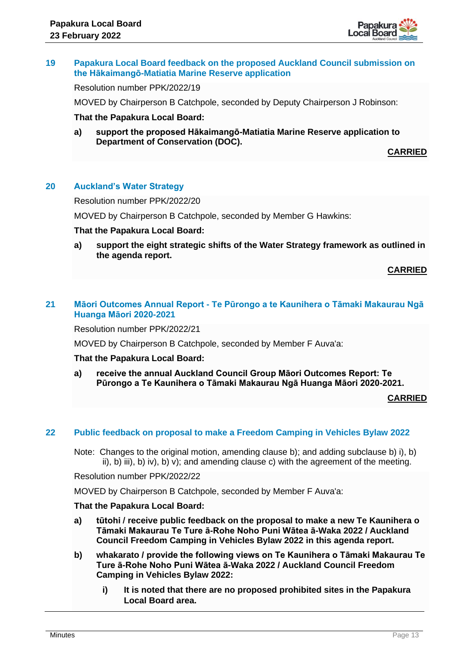

## **19 Papakura Local Board feedback on the proposed Auckland Council submission on the Hākaimangō-Matiatia Marine Reserve application**

Resolution number PPK/2022/19

MOVED by Chairperson B Catchpole, seconded by Deputy Chairperson J Robinson:

#### **That the Papakura Local Board:**

**a) support the proposed Hākaimangō-Matiatia Marine Reserve application to Department of Conservation (DOC).**

**CARRIED**

# **20 Auckland's Water Strategy**

Resolution number PPK/2022/20

MOVED by Chairperson B Catchpole, seconded by Member G Hawkins:

#### **That the Papakura Local Board:**

**a) support the eight strategic shifts of the Water Strategy framework as outlined in the agenda report.** 

**CARRIED**

# **21 Māori Outcomes Annual Report - Te Pūrongo a te Kaunihera o Tāmaki Makaurau Ngā Huanga Māori 2020-2021**

Resolution number PPK/2022/21

MOVED by Chairperson B Catchpole, seconded by Member F Auva'a:

#### **That the Papakura Local Board:**

**a) receive the annual Auckland Council Group Māori Outcomes Report: Te Pūrongo a Te Kaunihera o Tāmaki Makaurau Ngā Huanga Māori 2020-2021.**

**CARRIED**

#### **22 Public feedback on proposal to make a Freedom Camping in Vehicles Bylaw 2022**

Note: Changes to the original motion, amending clause b); and adding subclause b) i), b) ii), b) iii), b) iv), b) v); and amending clause c) with the agreement of the meeting.

Resolution number PPK/2022/22

MOVED by Chairperson B Catchpole, seconded by Member F Auva'a:

#### **That the Papakura Local Board:**

- **a) tūtohi / receive public feedback on the proposal to make a new Te Kaunihera o Tāmaki Makaurau Te Ture ā-Rohe Noho Puni Wātea ā-Waka 2022 / Auckland Council Freedom Camping in Vehicles Bylaw 2022 in this agenda report.**
- **b) whakarato / provide the following views on Te Kaunihera o Tāmaki Makaurau Te Ture ā-Rohe Noho Puni Wātea ā-Waka 2022 / Auckland Council Freedom Camping in Vehicles Bylaw 2022:**
	- **i) It is noted that there are no proposed prohibited sites in the Papakura Local Board area.**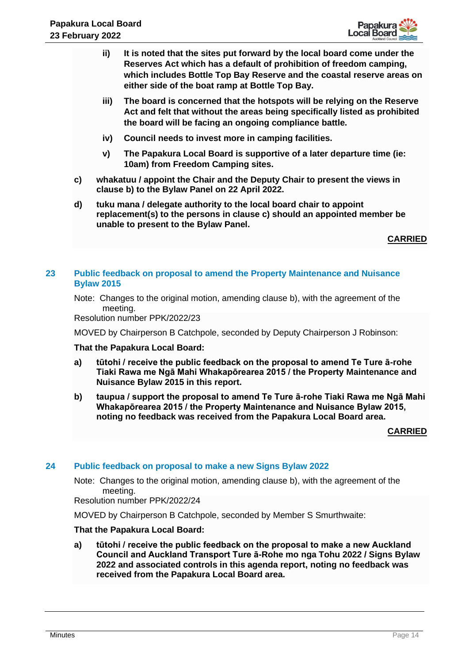

- **ii) It is noted that the sites put forward by the local board come under the Reserves Act which has a default of prohibition of freedom camping, which includes Bottle Top Bay Reserve and the coastal reserve areas on either side of the boat ramp at Bottle Top Bay.**
- **iii) The board is concerned that the hotspots will be relying on the Reserve Act and felt that without the areas being specifically listed as prohibited the board will be facing an ongoing compliance battle.**
- **iv) Council needs to invest more in camping facilities.**
- **v) The Papakura Local Board is supportive of a later departure time (ie: 10am) from Freedom Camping sites.**
- **c) whakatuu / appoint the Chair and the Deputy Chair to present the views in clause b) to the Bylaw Panel on 22 April 2022.**
- **d) tuku mana / delegate authority to the local board chair to appoint replacement(s) to the persons in clause c) should an appointed member be unable to present to the Bylaw Panel.**

**CARRIED**

# **23 Public feedback on proposal to amend the Property Maintenance and Nuisance Bylaw 2015**

Note: Changes to the original motion, amending clause b), with the agreement of the meeting.

Resolution number PPK/2022/23

MOVED by Chairperson B Catchpole, seconded by Deputy Chairperson J Robinson:

#### **That the Papakura Local Board:**

- **a) tūtohi / receive the public feedback on the proposal to amend Te Ture ā-rohe Tiaki Rawa me Ngā Mahi Whakapōrearea 2015 / the Property Maintenance and Nuisance Bylaw 2015 in this report.**
- **b) taupua / support the proposal to amend Te Ture ā-rohe Tiaki Rawa me Ngā Mahi Whakapōrearea 2015 / the Property Maintenance and Nuisance Bylaw 2015, noting no feedback was received from the Papakura Local Board area.**

#### **CARRIED**

#### **24 Public feedback on proposal to make a new Signs Bylaw 2022**

Note: Changes to the original motion, amending clause b), with the agreement of the meeting.

Resolution number PPK/2022/24

MOVED by Chairperson B Catchpole, seconded by Member S Smurthwaite:

## **That the Papakura Local Board:**

**a) tūtohi / receive the public feedback on the proposal to make a new Auckland Council and Auckland Transport Ture ā-Rohe mo nga Tohu 2022 / Signs Bylaw 2022 and associated controls in this agenda report, noting no feedback was received from the Papakura Local Board area.**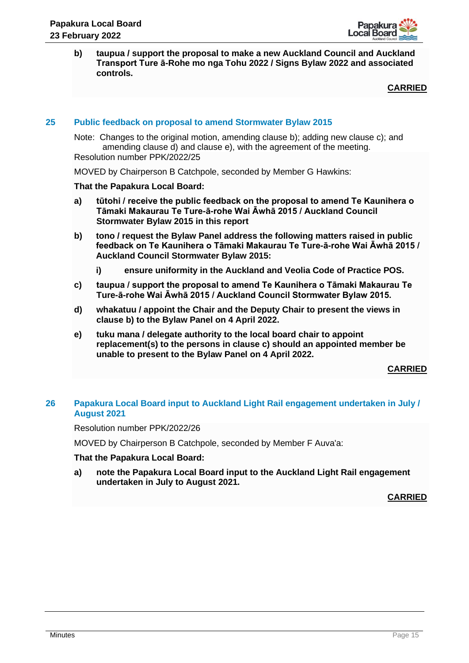

**b) taupua / support the proposal to make a new Auckland Council and Auckland Transport Ture ā-Rohe mo nga Tohu 2022 / Signs Bylaw 2022 and associated controls.** 

**CARRIED**

## **25 Public feedback on proposal to amend Stormwater Bylaw 2015**

Note: Changes to the original motion, amending clause b); adding new clause c); and amending clause d) and clause e), with the agreement of the meeting. Resolution number PPK/2022/25

MOVED by Chairperson B Catchpole, seconded by Member G Hawkins:

#### **That the Papakura Local Board:**

- **a) tūtohi / receive the public feedback on the proposal to amend Te Kaunihera o Tāmaki Makaurau Te Ture-ā-rohe Wai Āwhā 2015 / Auckland Council Stormwater Bylaw 2015 in this report**
- **b) tono / request the Bylaw Panel address the following matters raised in public feedback on Te Kaunihera o Tāmaki Makaurau Te Ture-ā-rohe Wai Āwhā 2015 / Auckland Council Stormwater Bylaw 2015:**
	- **i) ensure uniformity in the Auckland and Veolia Code of Practice POS.**
- **c) taupua / support the proposal to amend Te Kaunihera o Tāmaki Makaurau Te Ture-ā-rohe Wai Āwhā 2015 / Auckland Council Stormwater Bylaw 2015.**
- **d) whakatuu / appoint the Chair and the Deputy Chair to present the views in clause b) to the Bylaw Panel on 4 April 2022.**
- **e) tuku mana / delegate authority to the local board chair to appoint replacement(s) to the persons in clause c) should an appointed member be unable to present to the Bylaw Panel on 4 April 2022.**

**CARRIED**

## **26 Papakura Local Board input to Auckland Light Rail engagement undertaken in July / August 2021**

Resolution number PPK/2022/26

MOVED by Chairperson B Catchpole, seconded by Member F Auva'a:

#### **That the Papakura Local Board:**

**a) note the Papakura Local Board input to the Auckland Light Rail engagement undertaken in July to August 2021.**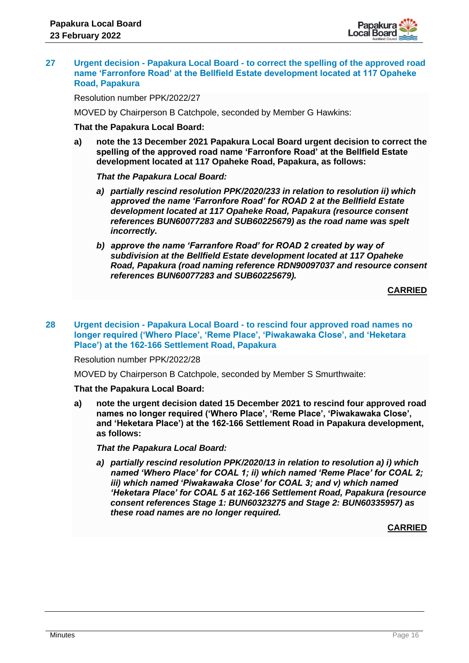

## **27 Urgent decision - Papakura Local Board - to correct the spelling of the approved road name 'Farronfore Road' at the Bellfield Estate development located at 117 Opaheke Road, Papakura**

Resolution number PPK/2022/27

MOVED by Chairperson B Catchpole, seconded by Member G Hawkins:

#### **That the Papakura Local Board:**

**a) note the 13 December 2021 Papakura Local Board urgent decision to correct the spelling of the approved road name 'Farronfore Road' at the Bellfield Estate development located at 117 Opaheke Road, Papakura, as follows:**

#### *That the Papakura Local Board:*

- *a) partially rescind resolution PPK/2020/233 in relation to resolution ii) which approved the name 'Farronfore Road' for ROAD 2 at the Bellfield Estate development located at 117 Opaheke Road, Papakura (resource consent references BUN60077283 and SUB60225679) as the road name was spelt incorrectly.*
- *b) approve the name 'Farranfore Road' for ROAD 2 created by way of subdivision at the Bellfield Estate development located at 117 Opaheke Road, Papakura (road naming reference RDN90097037 and resource consent references BUN60077283 and SUB60225679).*

**CARRIED**

#### **28 Urgent decision - Papakura Local Board - to rescind four approved road names no longer required ('Whero Place', 'Reme Place', 'Piwakawaka Close', and 'Heketara Place') at the 162-166 Settlement Road, Papakura**

Resolution number PPK/2022/28

MOVED by Chairperson B Catchpole, seconded by Member S Smurthwaite:

#### **That the Papakura Local Board:**

**a) note the urgent decision dated 15 December 2021 to rescind four approved road names no longer required ('Whero Place', 'Reme Place', 'Piwakawaka Close', and 'Heketara Place') at the 162-166 Settlement Road in Papakura development, as follows:**

*That the Papakura Local Board:* 

*a) partially rescind resolution PPK/2020/13 in relation to resolution a) i) which named 'Whero Place' for COAL 1; ii) which named 'Reme Place' for COAL 2; iii) which named 'Piwakawaka Close' for COAL 3; and v) which named 'Heketara Place' for COAL 5 at 162-166 Settlement Road, Papakura (resource consent references Stage 1: BUN60323275 and Stage 2: BUN60335957) as these road names are no longer required.*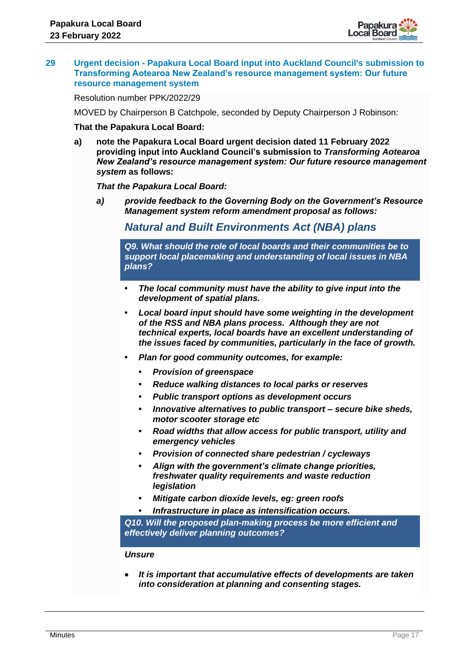

#### **29 Urgent decision - Papakura Local Board input into Auckland Council's submission to Transforming Aotearoa New Zealand's resource management system: Our future resource management system**

Resolution number PPK/2022/29

MOVED by Chairperson B Catchpole, seconded by Deputy Chairperson J Robinson:

#### **That the Papakura Local Board:**

**a) note the Papakura Local Board urgent decision dated 11 February 2022 providing input into Auckland Council's submission to** *Transforming Aotearoa New Zealand's resource management system: Our future resource management system* **as follows:**

## *That the Papakura Local Board:*

*a) provide feedback to the Governing Body on the Government's Resource Management system reform amendment proposal as follows:* 

# *Natural and Built Environments Act (NBA) plans*

*Q9. What should the role of local boards and their communities be to support local placemaking and understanding of local issues in NBA plans?* 

- **•** *The local community must have the ability to give input into the development of spatial plans.*
- **•** *Local board input should have some weighting in the development of the RSS and NBA plans process. Although they are not technical experts, local boards have an excellent understanding of the issues faced by communities, particularly in the face of growth.*
- **•** *Plan for good community outcomes, for example:*
	- **•** *Provision of greenspace*
	- **•** *Reduce walking distances to local parks or reserves*
	- **•** *Public transport options as development occurs*
	- **•** *Innovative alternatives to public transport – secure bike sheds, motor scooter storage etc*
	- **•** *Road widths that allow access for public transport, utility and emergency vehicles*
	- **•** *Provision of connected share pedestrian / cycleways*
	- **•** *Align with the government's climate change priorities, freshwater quality requirements and waste reduction legislation*
	- **•** *Mitigate carbon dioxide levels, eg: green roofs*
	- **•** *Infrastructure in place as intensification occurs.*

*Q10. Will the proposed plan-making process be more efficient and effectively deliver planning outcomes?* 

#### *Unsure*

• *It is important that accumulative effects of developments are taken into consideration at planning and consenting stages.*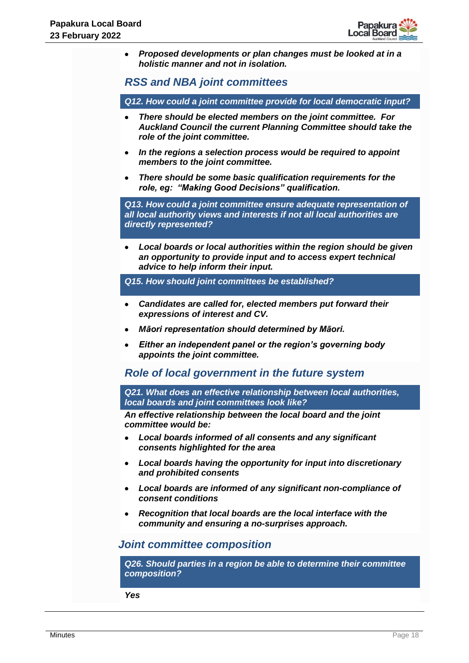

• *Proposed developments or plan changes must be looked at in a holistic manner and not in isolation.*

*RSS and NBA joint committees*

*Q12. How could a joint committee provide for local democratic input?*

- *There should be elected members on the joint committee. For Auckland Council the current Planning Committee should take the role of the joint committee.*
- *In the regions a selection process would be required to appoint members to the joint committee.*
- *There should be some basic qualification requirements for the role, eg: "Making Good Decisions" qualification.*

*Q13. How could a joint committee ensure adequate representation of all local authority views and interests if not all local authorities are directly represented?*

• *Local boards or local authorities within the region should be given an opportunity to provide input and to access expert technical advice to help inform their input.*

*Q15. How should joint committees be established?*

- *Candidates are called for, elected members put forward their expressions of interest and CV.*
- *Māori representation should determined by Māori.*
- *Either an independent panel or the region's governing body appoints the joint committee.*

*Role of local government in the future system*

*Q21. What does an effective relationship between local authorities, local boards and joint committees look like?*

*An effective relationship between the local board and the joint committee would be:*

- *Local boards informed of all consents and any significant consents highlighted for the area*
- *Local boards having the opportunity for input into discretionary and prohibited consents*
- *Local boards are informed of any significant non-compliance of consent conditions*
- *Recognition that local boards are the local interface with the community and ensuring a no-surprises approach.*

# *Joint committee composition*

*Q26. Should parties in a region be able to determine their committee composition?*

*Yes*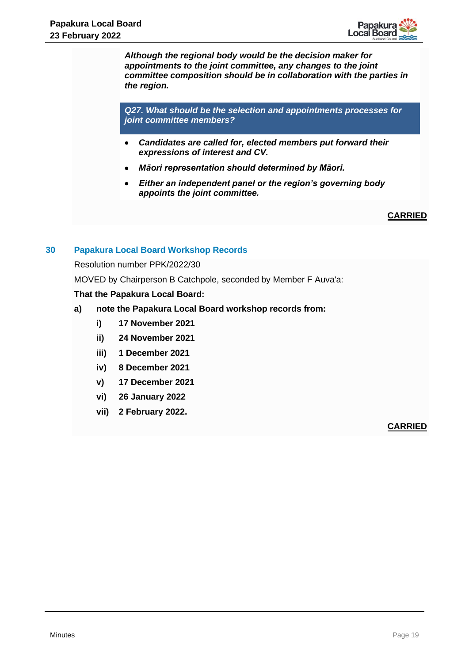

*Although the regional body would be the decision maker for appointments to the joint committee, any changes to the joint committee composition should be in collaboration with the parties in the region.*

*Q27. What should be the selection and appointments processes for joint committee members?*

- *Candidates are called for, elected members put forward their expressions of interest and CV.*
- *Māori representation should determined by Māori.*
- *Either an independent panel or the region's governing body appoints the joint committee.*

# **CARRIED**

# **30 Papakura Local Board Workshop Records**

Resolution number PPK/2022/30

MOVED by Chairperson B Catchpole, seconded by Member F Auva'a:

# **That the Papakura Local Board:**

- **a) note the Papakura Local Board workshop records from:**
	- **i) 17 November 2021**
	- **ii) 24 November 2021**
	- **iii) 1 December 2021**
	- **iv) 8 December 2021**
	- **v) 17 December 2021**
	- **vi) 26 January 2022**
	- **vii) 2 February 2022.**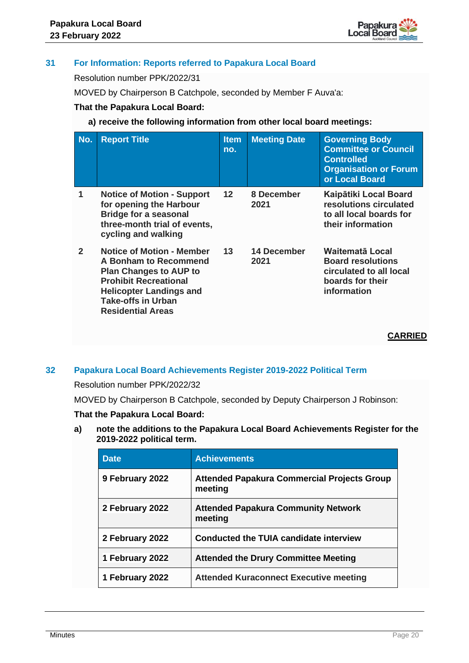

# **31 For Information: Reports referred to Papakura Local Board**

Resolution number PPK/2022/31

MOVED by Chairperson B Catchpole, seconded by Member F Auva'a:

# **That the Papakura Local Board:**

**a) receive the following information from other local board meetings:**

| No.              | <b>Report Title</b>                                                                                                                                                                                                   | <b>Item</b><br>no. | <b>Meeting Date</b> | <b>Governing Body</b><br><b>Committee or Council</b><br><b>Controlled</b><br><b>Organisation or Forum</b><br>or Local Board |
|------------------|-----------------------------------------------------------------------------------------------------------------------------------------------------------------------------------------------------------------------|--------------------|---------------------|-----------------------------------------------------------------------------------------------------------------------------|
| 1                | <b>Notice of Motion - Support</b><br>for opening the Harbour<br><b>Bridge for a seasonal</b><br>three-month trial of events,<br>cycling and walking                                                                   | $12 \,$            | 8 December<br>2021  | Kaipātiki Local Board<br>resolutions circulated<br>to all local boards for<br>their information                             |
| $\boldsymbol{c}$ | <b>Notice of Motion - Member</b><br>A Bonham to Recommend<br><b>Plan Changes to AUP to</b><br><b>Prohibit Recreational</b><br><b>Helicopter Landings and</b><br><b>Take-offs in Urban</b><br><b>Residential Areas</b> | 13                 | 14 December<br>2021 | Waitematā Local<br><b>Board resolutions</b><br>circulated to all local<br>boards for their<br>information                   |

**CARRIED**

# **32 Papakura Local Board Achievements Register 2019-2022 Political Term**

Resolution number PPK/2022/32

MOVED by Chairperson B Catchpole, seconded by Deputy Chairperson J Robinson:

# **That the Papakura Local Board:**

**a) note the additions to the Papakura Local Board Achievements Register for the 2019-2022 political term.**

| <b>Date</b>     | <b>Achievements</b>                                           |
|-----------------|---------------------------------------------------------------|
| 9 February 2022 | <b>Attended Papakura Commercial Projects Group</b><br>meeting |
| 2 February 2022 | <b>Attended Papakura Community Network</b><br>meeting         |
| 2 February 2022 | Conducted the TUIA candidate interview                        |
| 1 February 2022 | <b>Attended the Drury Committee Meeting</b>                   |
| 1 February 2022 | <b>Attended Kuraconnect Executive meeting</b>                 |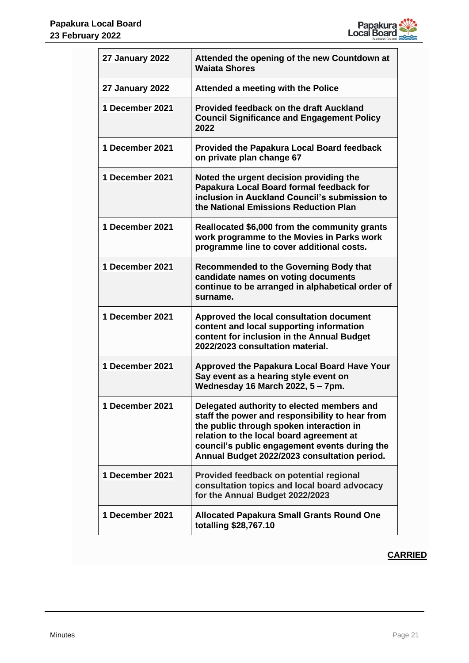

| <b>27 January 2022</b> | Attended the opening of the new Countdown at<br><b>Waiata Shores</b>                                                                                                                                                                                                                   |
|------------------------|----------------------------------------------------------------------------------------------------------------------------------------------------------------------------------------------------------------------------------------------------------------------------------------|
| <b>27 January 2022</b> | Attended a meeting with the Police                                                                                                                                                                                                                                                     |
| 1 December 2021        | Provided feedback on the draft Auckland<br><b>Council Significance and Engagement Policy</b><br>2022                                                                                                                                                                                   |
| 1 December 2021        | <b>Provided the Papakura Local Board feedback</b><br>on private plan change 67                                                                                                                                                                                                         |
| 1 December 2021        | Noted the urgent decision providing the<br>Papakura Local Board formal feedback for<br>inclusion in Auckland Council's submission to<br>the National Emissions Reduction Plan                                                                                                          |
| 1 December 2021        | Reallocated \$6,000 from the community grants<br>work programme to the Movies in Parks work<br>programme line to cover additional costs.                                                                                                                                               |
| 1 December 2021        | Recommended to the Governing Body that<br>candidate names on voting documents<br>continue to be arranged in alphabetical order of<br>surname.                                                                                                                                          |
| 1 December 2021        | Approved the local consultation document<br>content and local supporting information<br>content for inclusion in the Annual Budget<br>2022/2023 consultation material.                                                                                                                 |
| 1 December 2021        | <b>Approved the Papakura Local Board Have Your</b><br>Say event as a hearing style event on<br>Wednesday 16 March 2022, 5 - 7pm.                                                                                                                                                       |
| 1 December 2021        | Delegated authority to elected members and<br>staff the power and responsibility to hear from<br>the public through spoken interaction in<br>relation to the local board agreement at<br>council's public engagement events during the<br>Annual Budget 2022/2023 consultation period. |
| 1 December 2021        | Provided feedback on potential regional<br>consultation topics and local board advocacy<br>for the Annual Budget 2022/2023                                                                                                                                                             |
| 1 December 2021        | <b>Allocated Papakura Small Grants Round One</b><br>totalling \$28,767.10                                                                                                                                                                                                              |